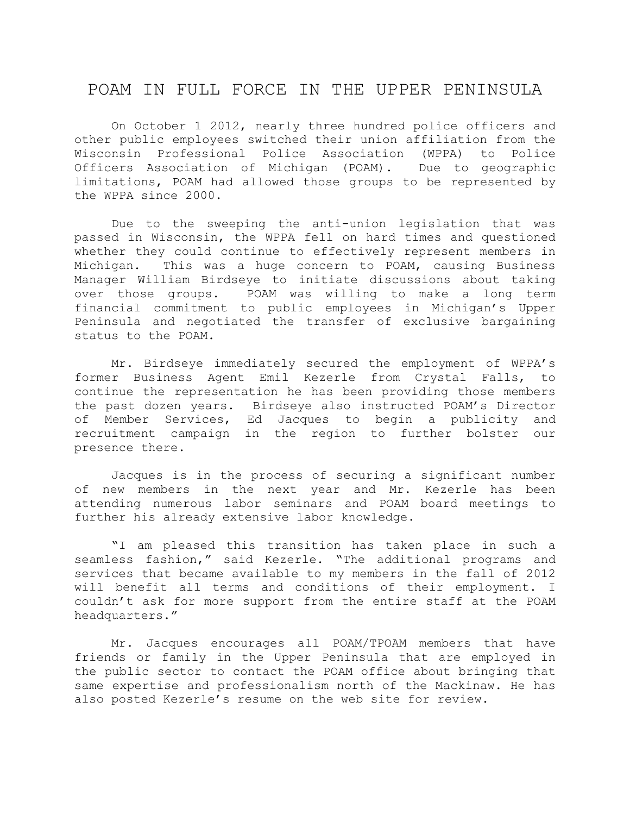## POAM IN FULL FORCE IN THE UPPER PENINSULA

On October 1 2012, nearly three hundred police officers and other public employees switched their union affiliation from the Wisconsin Professional Police Association (WPPA) to Police Officers Association of Michigan (POAM). Due to geographic limitations, POAM had allowed those groups to be represented by the WPPA since 2000.

Due to the sweeping the anti-union legislation that was passed in Wisconsin, the WPPA fell on hard times and questioned whether they could continue to effectively represent members in Michigan. This was a huge concern to POAM, causing Business Manager William Birdseye to initiate discussions about taking over those groups. POAM was willing to make a long term financial commitment to public employees in Michigan's Upper Peninsula and negotiated the transfer of exclusive bargaining status to the POAM.

Mr. Birdseye immediately secured the employment of WPPA's former Business Agent Emil Kezerle from Crystal Falls, to continue the representation he has been providing those members the past dozen years. Birdseye also instructed POAM's Director of Member Services, Ed Jacques to begin a publicity and recruitment campaign in the region to further bolster our presence there.

Jacques is in the process of securing a significant number of new members in the next year and Mr. Kezerle has been attending numerous labor seminars and POAM board meetings to further his already extensive labor knowledge.

"I am pleased this transition has taken place in such a seamless fashion," said Kezerle. "The additional programs and services that became available to my members in the fall of 2012 will benefit all terms and conditions of their employment. I couldn't ask for more support from the entire staff at the POAM headquarters."

Mr. Jacques encourages all POAM/TPOAM members that have friends or family in the Upper Peninsula that are employed in the public sector to contact the POAM office about bringing that same expertise and professionalism north of the Mackinaw. He has also posted Kezerle's resume on the web site for review.